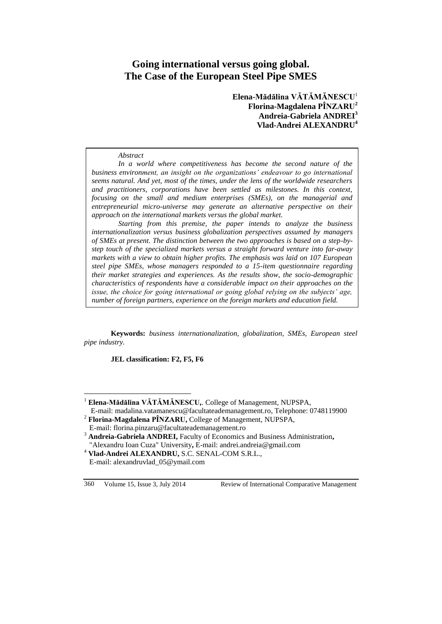# **Going international versus going global. The Case of the European Steel Pipe SMES**

**Elena-Mădălina VĂTĂMĂNESCU**<sup>1</sup> **Florina-Magdalena PÎNZARU<sup>2</sup> Andreia-Gabriela ANDREI<sup>3</sup> Vlad-Andrei ALEXANDRU<sup>4</sup>**

*Abstract*

*.*

*In a world where competitiveness has become the second nature of the business environment, an insight on the organizations' endeavour to go international seems natural. And yet, most of the times, under the lens of the worldwide researchers and practitioners, corporations have been settled as milestones. In this context, focusing on the small and medium enterprises (SMEs), on the managerial and entrepreneurial micro-universe may generate an alternative perspective on their approach on the international markets versus the global market.* 

*Starting from this premise, the paper intends to analyze the business internationalization versus business globalization perspectives assumed by managers of SMEs at present. The distinction between the two approaches is based on a step-bystep touch of the specialized markets versus a straight forward venture into far-away markets with a view to obtain higher profits. The emphasis was laid on 107 European steel pipe SMEs, whose managers responded to a 15-item questionnaire regarding their market strategies and experiences. As the results show, the socio-demographic characteristics of respondents have a considerable impact on their approaches on the issue, the choice for going international or going global relying on the subjects' age, number of foreign partners, experience on the foreign markets and education field.*

**Keywords:** *business internationalization, globalization, SMEs, European steel pipe industry.*

**JEL classification: F2, F5, F6**

 $\overline{a}$ 

<sup>1</sup> **Elena-Mădălina VĂTĂMĂNESCU,**. College of Management, NUPSPA, E-mail: [madalina.vatamanescu@facultateademanagement.ro,](mailto:madalina.vatamanescu@facultateademanagement.ro) Telephone: 0748119900

<sup>2</sup> **Florina-Magdalena PÎNZARU,** College of Management, NUPSPA, E-mail: [florina.pinzaru@facultateademanagement.ro](mailto:florina.pinzaru@facultateademanagement.ro)

<sup>&</sup>lt;sup>3</sup> Andreia-Gabriela ANDREI, Faculty of Economics and Business Administration, "Alexandru Ioan Cuza" University**,** E-mail: andrei.andreia@gmail.com

<sup>4</sup> **Vlad-Andrei ALEXANDRU,** S.C. SENAL-COM S.R.L., E-mail: [alexandruvlad\\_05@ymail.com](mailto:alexandruvlad_05@ymail.com)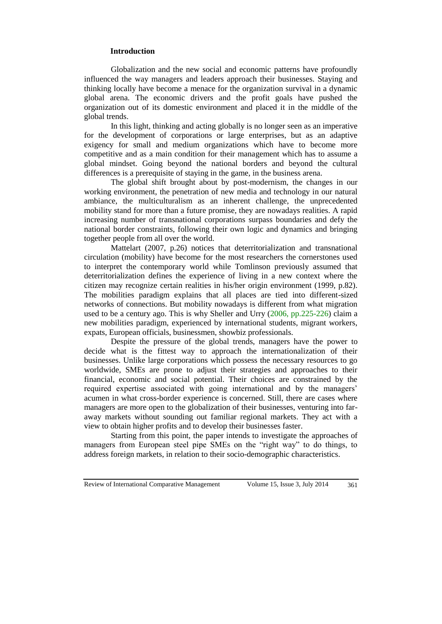#### **Introduction**

Globalization and the new social and economic patterns have profoundly influenced the way managers and leaders approach their businesses. Staying and thinking locally have become a menace for the organization survival in a dynamic global arena. The economic drivers and the profit goals have pushed the organization out of its domestic environment and placed it in the middle of the global trends.

In this light, thinking and acting globally is no longer seen as an imperative for the development of corporations or large enterprises, but as an adaptive exigency for small and medium organizations which have to become more competitive and as a main condition for their management which has to assume a global mindset. Going beyond the national borders and beyond the cultural differences is a prerequisite of staying in the game, in the business arena.

The global shift brought about by post-modernism, the changes in our working environment, the penetration of new media and technology in our natural ambiance, the multiculturalism as an inherent challenge, the unprecedented mobility stand for more than a future promise, they are nowadays realities. A rapid increasing number of transnational corporations surpass boundaries and defy the national border constraints, following their own logic and dynamics and bringing together people from all over the world.

Mattelart (2007, p.26) notices that deterritorialization and transnational circulation (mobility) have become for the most researchers the cornerstones used to interpret the contemporary world while Tomlinson previously assumed that deterritorialization defines the experience of living in a new context where the citizen may recognize certain realities in his/her origin environment (1999, p.82). The mobilities paradigm explains that all places are tied into different-sized networks of connections. But mobility nowadays is different from what migration used to be a century ago. This is why Sheller and Urry (2006, pp.225-226) claim a new mobilities paradigm, experienced by international students, migrant workers, expats, European officials, businessmen, showbiz professionals.

Despite the pressure of the global trends, managers have the power to decide what is the fittest way to approach the internationalization of their businesses. Unlike large corporations which possess the necessary resources to go worldwide, SMEs are prone to adjust their strategies and approaches to their financial, economic and social potential. Their choices are constrained by the required expertise associated with going international and by the managers' acumen in what cross-border experience is concerned. Still, there are cases where managers are more open to the globalization of their businesses, venturing into faraway markets without sounding out familiar regional markets. They act with a view to obtain higher profits and to develop their businesses faster.

Starting from this point, the paper intends to investigate the approaches of managers from European steel pipe SMEs on the "right way" to do things, to address foreign markets, in relation to their socio-demographic characteristics.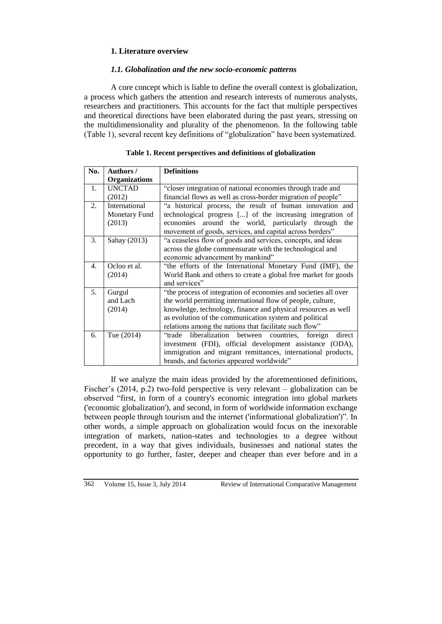# **1. Literature overview**

# *1.1. Globalization and the new socio-economic patterns*

A core concept which is liable to define the overall context is globalization, a process which gathers the attention and research interests of numerous analysts, researchers and practitioners. This accounts for the fact that multiple perspectives and theoretical directions have been elaborated during the past years, stressing on the multidimensionality and plurality of the phenomenon. In the following table (Table 1), several recent key definitions of "globalization" have been systematized.

| No.            | Authors /            | <b>Definitions</b>                                              |
|----------------|----------------------|-----------------------------------------------------------------|
|                | <b>Organizations</b> |                                                                 |
| $\mathbf{1}$ . | <b>UNCTAD</b>        | "closer integration of national economies through trade and     |
|                | (2012)               | financial flows as well as cross-border migration of people"    |
| 2.             | International        | "a historical process, the result of human innovation and       |
|                | Monetary Fund        | technological progress [] of the increasing integration of      |
|                | (2013)               | economies around the world, particularly through the            |
|                |                      | movement of goods, services, and capital across borders"        |
| 3.             | Sahay (2013)         | "a ceaseless flow of goods and services, concepts, and ideas    |
|                |                      | across the globe commensurate with the technological and        |
|                |                      | economic advancement by mankind"                                |
| $\mathbf{4}$ . | Ocloo et al.         | "the efforts of the International Monetary Fund (IMF), the      |
|                | (2014)               | World Bank and others to create a global free market for goods  |
|                |                      | and services"                                                   |
| 5 <sub>1</sub> | Gurgul               | "the process of integration of economies and societies all over |
|                | and Lach             | the world permitting international flow of people, culture,     |
|                | (2014)               | knowledge, technology, finance and physical resources as well   |
|                |                      | as evolution of the communication system and political          |
|                |                      | relations among the nations that facilitate such flow"          |
| 6.             | Tue (2014)           | "trade liberalization between countries, foreign<br>direct      |
|                |                      | investment (FDI), official development assistance (ODA),        |
|                |                      | immigration and migrant remittances, international products,    |
|                |                      | brands, and factories appeared worldwide"                       |

#### **Table 1. Recent perspectives and definitions of globalization**

If we analyze the main ideas provided by the aforementioned definitions, Fischer's (2014, p.2) two-fold perspective is very relevant – globalization can be observed "first, in form of a country's economic integration into global markets ('economic globalization'), and second, in form of worldwide information exchange between people through tourism and the internet ('informational globalization')". In other words, a simple approach on globalization would focus on the inexorable integration of markets, nation-states and technologies to a degree without precedent, in a way that gives individuals, businesses and national states the opportunity to go further, faster, deeper and cheaper than ever before and in a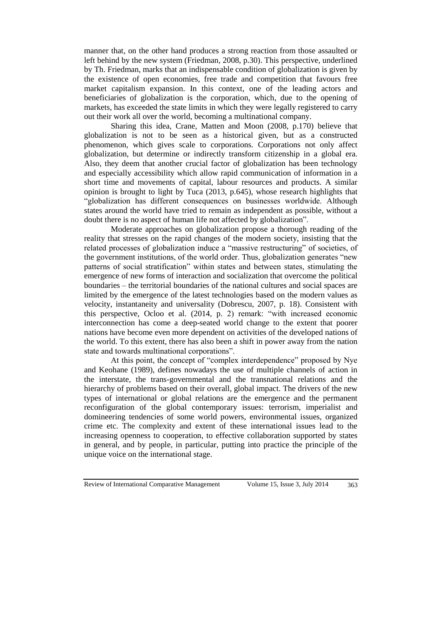manner that, on the other hand produces a strong reaction from those assaulted or left behind by the new system (Friedman, 2008, p.30). This perspective, underlined by Th. Friedman, marks that an indispensable condition of globalization is given by the existence of open economies, free trade and competition that favours free market capitalism expansion. In this context, one of the leading actors and beneficiaries of globalization is the corporation, which, due to the opening of markets, has exceeded the state limits in which they were legally registered to carry out their work all over the world, becoming a multinational company.

Sharing this idea, Crane, Matten and Moon (2008, p.170) believe that globalization is not to be seen as a historical given, but as a constructed phenomenon, which gives scale to corporations. Corporations not only affect globalization, but determine or indirectly transform citizenship in a global era. Also, they deem that another crucial factor of globalization has been technology and especially accessibility which allow rapid communication of information in a short time and movements of capital, labour resources and products. A similar opinion is brought to light by Tuca (2013, p.645), whose research highlights that "globalization has different consequences on businesses worldwide. Although states around the world have tried to remain as independent as possible, without a doubt there is no aspect of human life not affected by globalization".

Moderate approaches on globalization propose a thorough reading of the reality that stresses on the rapid changes of the modern society, insisting that the related processes of globalization induce a "massive restructuring" of societies, of the government institutions, of the world order. Thus, globalization generates "new patterns of social stratification" within states and between states, stimulating the emergence of new forms of interaction and socialization that overcome the political boundaries – the territorial boundaries of the national cultures and social spaces are limited by the emergence of the latest technologies based on the modern values as velocity, instantaneity and universality (Dobrescu, 2007, p. 18). Consistent with this perspective, Ocloo et al. (2014, p. 2) remark: "with increased economic interconnection has come a deep-seated world change to the extent that poorer nations have become even more dependent on activities of the developed nations of the world. To this extent, there has also been a shift in power away from the nation state and towards multinational corporations".

At this point, the concept of "complex interdependence" proposed by Nye and Keohane (1989), defines nowadays the use of multiple channels of action in the interstate, the trans-governmental and the transnational relations and the hierarchy of problems based on their overall, global impact. The drivers of the new types of international or global relations are the emergence and the permanent reconfiguration of the global contemporary issues: terrorism, imperialist and domineering tendencies of some world powers, environmental issues, organized crime etc. The complexity and extent of these international issues lead to the increasing openness to cooperation, to effective collaboration supported by states in general, and by people, in particular, putting into practice the principle of the unique voice on the international stage.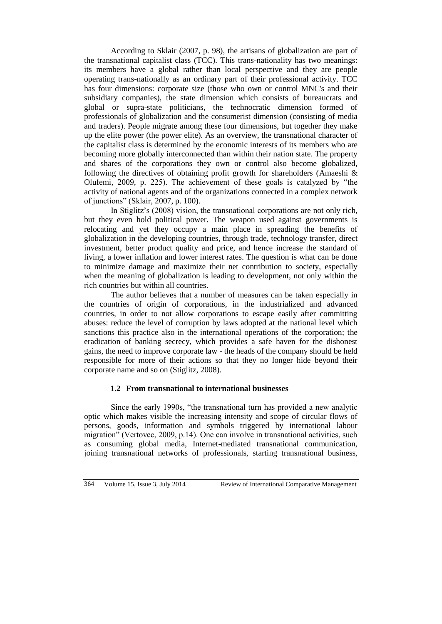According to Sklair (2007, p. 98), the artisans of globalization are part of the transnational capitalist class (TCC). This trans-nationality has two meanings: its members have a global rather than local perspective and they are people operating trans-nationally as an ordinary part of their professional activity. TCC has four dimensions: corporate size (those who own or control MNC's and their subsidiary companies), the state dimension which consists of bureaucrats and global or supra-state politicians, the technocratic dimension formed of professionals of globalization and the consumerist dimension (consisting of media and traders). People migrate among these four dimensions, but together they make up the elite power (the power elite). As an overview, the transnational character of the capitalist class is determined by the economic interests of its members who are becoming more globally interconnected than within their nation state. The property and shares of the corporations they own or control also become globalized, following the directives of obtaining profit growth for shareholders (Amaeshi & Olufemi, 2009, p. 225). The achievement of these goals is catalyzed by "the activity of national agents and of the organizations connected in a complex network of junctions" (Sklair, 2007, p. 100).

In Stiglitz's (2008) vision, the transnational corporations are not only rich, but they even hold political power. The weapon used against governments is relocating and yet they occupy a main place in spreading the benefits of globalization in the developing countries, through trade, technology transfer, direct investment, better product quality and price, and hence increase the standard of living, a lower inflation and lower interest rates. The question is what can be done to minimize damage and maximize their net contribution to society, especially when the meaning of globalization is leading to development, not only within the rich countries but within all countries.

The author believes that a number of measures can be taken especially in the countries of origin of corporations, in the industrialized and advanced countries, in order to not allow corporations to escape easily after committing abuses: reduce the level of corruption by laws adopted at the national level which sanctions this practice also in the international operations of the corporation; the eradication of banking secrecy, which provides a safe haven for the dishonest gains, the need to improve corporate law - the heads of the company should be held responsible for more of their actions so that they no longer hide beyond their corporate name and so on (Stiglitz, 2008).

# **1.2 From transnational to international businesses**

Since the early 1990s, "the transnational turn has provided a new analytic optic which makes visible the increasing intensity and scope of circular flows of persons, goods, information and symbols triggered by international labour migration" (Vertovec, 2009, p.14). One can involve in transnational activities, such as consuming global media, Internet-mediated transnational communication, joining transnational networks of professionals, starting transnational business,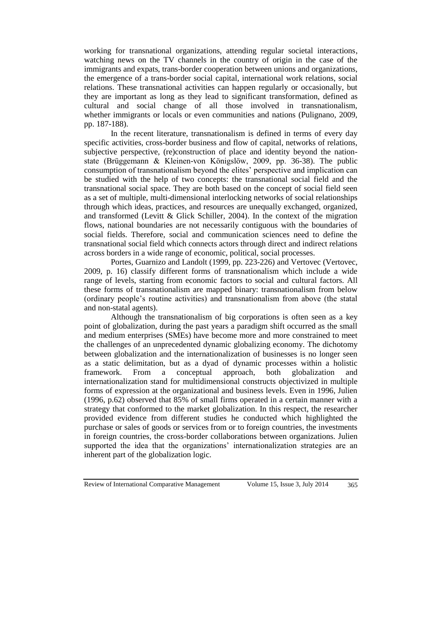working for transnational organizations, attending regular societal interactions, watching news on the TV channels in the country of origin in the case of the immigrants and expats, trans-border cooperation between unions and organizations, the emergence of a trans-border social capital, international work relations, social relations. These transnational activities can happen regularly or occasionally, but they are important as long as they lead to significant transformation, defined as cultural and social change of all those involved in transnationalism, whether immigrants or locals or even communities and nations (Pulignano, 2009, pp. 187-188).

In the recent literature, transnationalism is defined in terms of every day specific activities, cross-border business and flow of capital, networks of relations, subjective perspective, (re)construction of place and identity beyond the nationstate (Brüggemann & Kleinen-von Königslöw, 2009, pp. 36-38). The public consumption of transnationalism beyond the elites' perspective and implication can be studied with the help of two concepts: the transnational social field and the transnational social space. They are both based on the concept of social field seen as a set of multiple, multi-dimensional interlocking networks of social relationships through which ideas, practices, and resources are unequally exchanged, organized, and transformed (Levitt & Glick Schiller, 2004). In the context of the migration flows, national boundaries are not necessarily contiguous with the boundaries of social fields. Therefore, social and communication sciences need to define the transnational social field which connects actors through direct and indirect relations across borders in a wide range of economic, political, social processes.

Portes, Guarnizo and Landolt (1999, pp. 223-226) and Vertovec (Vertovec, 2009, p. 16) classify different forms of transnationalism which include a wide range of levels, starting from economic factors to social and cultural factors. All these forms of transnationalism are mapped binary: transnationalism from below (ordinary people's routine activities) and transnationalism from above (the statal and non-statal agents).

Although the transnationalism of big corporations is often seen as a key point of globalization, during the past years a paradigm shift occurred as the small and medium enterprises (SMEs) have become more and more constrained to meet the challenges of an unprecedented dynamic globalizing economy. The dichotomy between globalization and the internationalization of businesses is no longer seen as a static delimitation, but as a dyad of dynamic processes within a holistic framework. From a conceptual approach, both globalization and internationalization stand for multidimensional constructs objectivized in multiple forms of expression at the organizational and business levels. Even in 1996, Julien (1996, p.62) observed that 85% of small firms operated in a certain manner with a strategy that conformed to the market globalization. In this respect, the researcher provided evidence from different studies he conducted which highlighted the purchase or sales of goods or services from or to foreign countries, the investments in foreign countries, the cross-border collaborations between organizations. Julien supported the idea that the organizations' internationalization strategies are an inherent part of the globalization logic.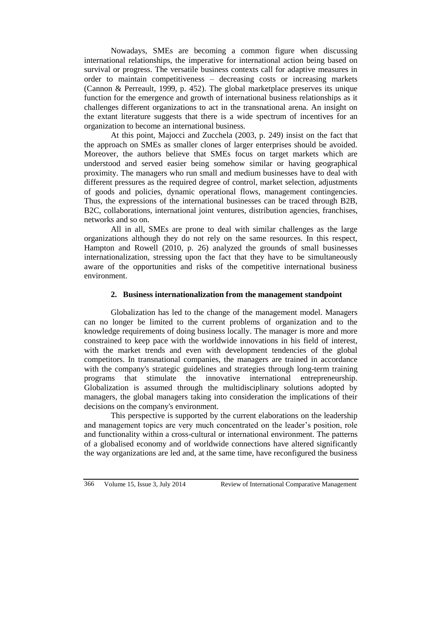Nowadays, SMEs are becoming a common figure when discussing international relationships, the imperative for international action being based on survival or progress. The versatile business contexts call for adaptive measures in order to maintain competitiveness – decreasing costs or increasing markets (Cannon & Perreault, 1999, p. 452). The global marketplace preserves its unique function for the emergence and growth of international business relationships as it challenges different organizations to act in the transnational arena. An insight on the extant literature suggests that there is a wide spectrum of incentives for an organization to become an international business.

At this point, Majocci and Zucchela (2003, p. 249) insist on the fact that the approach on SMEs as smaller clones of larger enterprises should be avoided. Moreover, the authors believe that SMEs focus on target markets which are understood and served easier being somehow similar or having geographical proximity. The managers who run small and medium businesses have to deal with different pressures as the required degree of control, market selection, adjustments of goods and policies, dynamic operational flows, management contingencies. Thus, the expressions of the international businesses can be traced through B2B, B2C, collaborations, international joint ventures, distribution agencies, franchises, networks and so on.

All in all, SMEs are prone to deal with similar challenges as the large organizations although they do not rely on the same resources. In this respect, Hampton and Rowell (2010, p. 26) analyzed the grounds of small businesses internationalization, stressing upon the fact that they have to be simultaneously aware of the opportunities and risks of the competitive international business environment.

# **2. Business internationalization from the management standpoint**

Globalization has led to the change of the management model. Managers can no longer be limited to the current problems of organization and to the knowledge requirements of doing business locally. The manager is more and more constrained to keep pace with the worldwide innovations in his field of interest, with the market trends and even with development tendencies of the global competitors. In transnational companies, the managers are trained in accordance with the company's strategic guidelines and strategies through long-term training programs that stimulate the innovative international entrepreneurship. Globalization is assumed through the multidisciplinary solutions adopted by managers, the global managers taking into consideration the implications of their decisions on the company's environment.

This perspective is supported by the current elaborations on the leadership and management topics are very much concentrated on the leader's position, role and functionality within a cross-cultural or international environment. The patterns of a globalised economy and of worldwide connections have altered significantly the way organizations are led and, at the same time, have reconfigured the business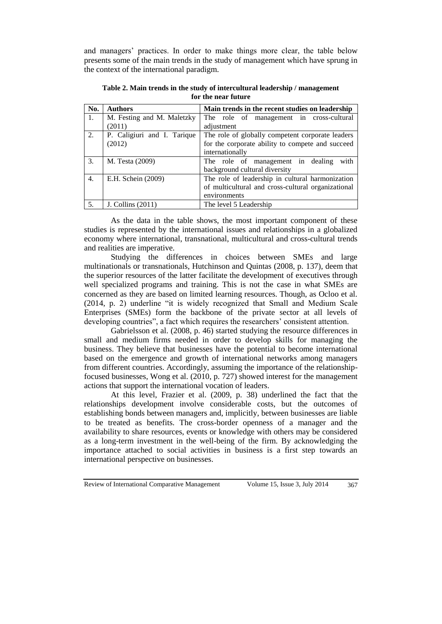and managers' practices. In order to make things more clear, the table below presents some of the main trends in the study of management which have sprung in the context of the international paradigm.

| No. | <b>Authors</b>                                                                  | Main trends in the recent studies on leadership    |
|-----|---------------------------------------------------------------------------------|----------------------------------------------------|
| 1.  | M. Festing and M. Maletzky                                                      | The role of management in cross-cultural           |
|     | (2011)                                                                          | adjustment                                         |
| 2.  | P. Caligiuri and I. Tarique<br>The role of globally competent corporate leaders |                                                    |
|     | (2012)                                                                          | for the corporate ability to compete and succeed   |
|     |                                                                                 | internationally                                    |
| 3.  | M. Testa (2009)                                                                 | The role of management in dealing<br>with          |
|     |                                                                                 | background cultural diversity                      |
| 4.  | E.H. Schein (2009)                                                              | The role of leadership in cultural harmonization   |
|     |                                                                                 | of multicultural and cross-cultural organizational |
|     |                                                                                 | environments                                       |
| 5.  | J. Collins (2011)                                                               | The level 5 Leadership                             |

**Table 2. Main trends in the study of intercultural leadership / management for the near future**

As the data in the table shows, the most important component of these studies is represented by the international issues and relationships in a globalized economy where international, transnational, multicultural and cross-cultural trends and realities are imperative.

Studying the differences in choices between SMEs and large multinationals or transnationals, Hutchinson and Quintas (2008, p. 137), deem that the superior resources of the latter facilitate the development of executives through well specialized programs and training. This is not the case in what SMEs are concerned as they are based on limited learning resources. Though, as Ocloo et al. (2014, p. 2) underline "it is widely recognized that Small and Medium Scale Enterprises (SMEs) form the backbone of the private sector at all levels of developing countries", a fact which requires the researchers' consistent attention.

Gabrielsson et al. (2008, p. 46) started studying the resource differences in small and medium firms needed in order to develop skills for managing the business. They believe that businesses have the potential to become international based on the emergence and growth of international networks among managers from different countries. Accordingly, assuming the importance of the relationshipfocused businesses, Wong et al. (2010, p. 727) showed interest for the management actions that support the international vocation of leaders.

At this level, Frazier et al. (2009, p. 38) underlined the fact that the relationships development involve considerable costs, but the outcomes of establishing bonds between managers and, implicitly, between businesses are liable to be treated as benefits. The cross-border openness of a manager and the availability to share resources, events or knowledge with others may be considered as a long-term investment in the well-being of the firm. By acknowledging the importance attached to social activities in business is a first step towards an international perspective on businesses.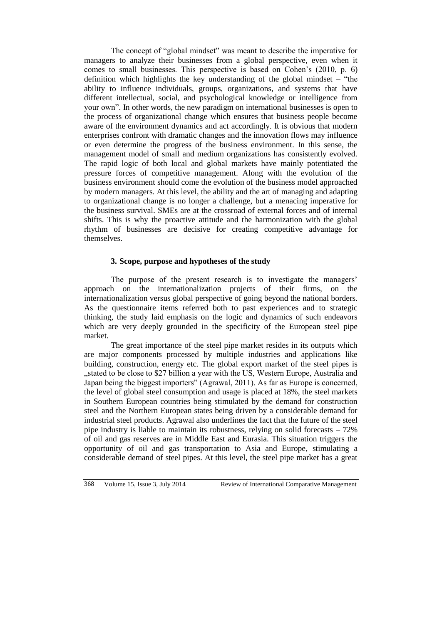The concept of "global mindset" was meant to describe the imperative for managers to analyze their businesses from a global perspective, even when it comes to small businesses. This perspective is based on Cohen's (2010, p. 6) definition which highlights the key understanding of the global mindset – "the ability to influence individuals, groups, organizations, and systems that have different intellectual, social, and psychological knowledge or intelligence from your own". In other words, the new paradigm on international businesses is open to the process of organizational change which ensures that business people become aware of the environment dynamics and act accordingly. It is obvious that modern enterprises confront with dramatic changes and the innovation flows may influence or even determine the progress of the business environment. In this sense, the management model of small and medium organizations has consistently evolved. The rapid logic of both local and global markets have mainly potentiated the pressure forces of competitive management. Along with the evolution of the business environment should come the evolution of the business model approached by modern managers. At this level, the ability and the art of managing and adapting to organizational change is no longer a challenge, but a menacing imperative for the business survival. SMEs are at the crossroad of external forces and of internal shifts. This is why the proactive attitude and the harmonization with the global rhythm of businesses are decisive for creating competitive advantage for themselves.

# **3. Scope, purpose and hypotheses of the study**

The purpose of the present research is to investigate the managers' approach on the internationalization projects of their firms, on the internationalization versus global perspective of going beyond the national borders. As the questionnaire items referred both to past experiences and to strategic thinking, the study laid emphasis on the logic and dynamics of such endeavors which are very deeply grounded in the specificity of the European steel pipe market.

The great importance of the steel pipe market resides in its outputs which are major components processed by multiple industries and applications like building, construction, energy etc. The global export market of the steel pipes is "stated to be close to \$27 billion a year with the US, Western Europe, Australia and Japan being the biggest importers" (Agrawal, 2011). As far as Europe is concerned, the level of global steel consumption and usage is placed at 18%, the steel markets in Southern European countries being stimulated by the demand for construction steel and the Northern European states being driven by a considerable demand for industrial steel products. Agrawal also underlines the fact that the future of the steel pipe industry is liable to maintain its robustness, relying on solid forecasts – 72% of oil and gas reserves are in Middle East and Eurasia. This situation triggers the opportunity of oil and gas transportation to Asia and Europe, stimulating a considerable demand of steel pipes. At this level, the steel pipe market has a great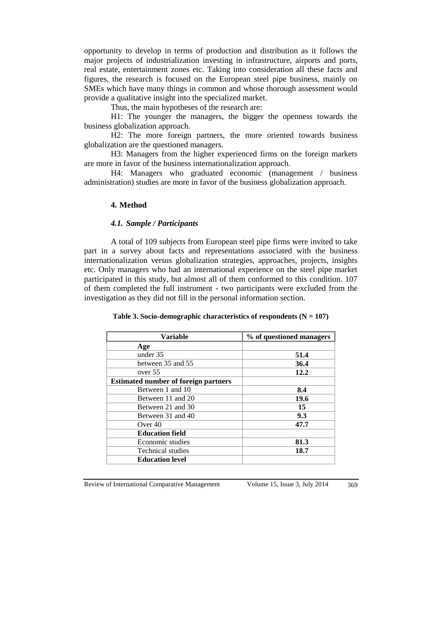opportunity to develop in terms of production and distribution as it follows the major projects of industrialization investing in infrastructure, airports and ports, real estate, entertainment zones etc. Taking into consideration all these facts and figures, the research is focused on the European steel pipe business, mainly on SMEs which have many things in common and whose thorough assessment would provide a qualitative insight into the specialized market.

Thus, the main hypotheses of the research are:

H1: The younger the managers, the bigger the openness towards the business globalization approach.

H2: The more foreign partners, the more oriented towards business globalization are the questioned managers.

H3: Managers from the higher experienced firms on the foreign markets are more in favor of the business internationalization approach.

H4: Managers who graduated economic (management / business administration) studies are more in favor of the business globalization approach.

#### **4. Method**

#### *4.1. Sample / Participants*

A total of 109 subjects from European steel pipe firms were invited to take part in a survey about facts and representations associated with the business internationalization versus globalization strategies, approaches, projects, insights etc. Only managers who had an international experience on the steel pipe market participated in this study, but almost all of them conformed to this condition. 107 of them completed the full instrument - two participants were excluded from the investigation as they did not fill in the personal information section.

| <b>Variable</b>                             | % of questioned managers |
|---------------------------------------------|--------------------------|
| Age                                         |                          |
| under 35                                    | 51.4                     |
| between 35 and 55                           | 36.4                     |
| over 55                                     | 12.2                     |
| <b>Estimated number of foreign partners</b> |                          |
| Between 1 and 10                            | 8.4                      |
| Between 11 and 20                           | 19.6                     |
| Between 21 and 30                           | 15                       |
| Between 31 and 40                           | 9.3                      |
| Over $40$                                   | 47.7                     |
| <b>Education field</b>                      |                          |
| Economic studies                            | 81.3                     |
| <b>Technical studies</b>                    | 18.7                     |
| <b>Education level</b>                      |                          |

Table 3. Socio-demographic characteristics of respondents  $(N = 107)$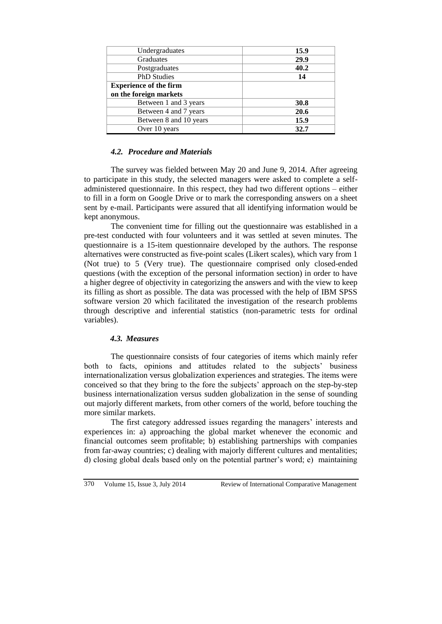| Undergraduates                | 15.9 |
|-------------------------------|------|
| Graduates                     | 29.9 |
| Postgraduates                 | 40.2 |
| <b>PhD</b> Studies            | 14   |
| <b>Experience of the firm</b> |      |
| on the foreign markets        |      |
| Between 1 and 3 years         | 30.8 |
| Between 4 and 7 years         | 20.6 |
| Between 8 and 10 years        | 15.9 |
| Over 10 years                 | 32.7 |

#### *4.2. Procedure and Materials*

The survey was fielded between May 20 and June 9, 2014. After agreeing to participate in this study, the selected managers were asked to complete a selfadministered questionnaire. In this respect, they had two different options – either to fill in a form on Google Drive or to mark the corresponding answers on a sheet sent by e-mail. Participants were assured that all identifying information would be kept anonymous.

The convenient time for filling out the questionnaire was established in a pre-test conducted with four volunteers and it was settled at seven minutes. The questionnaire is a 15-item questionnaire developed by the authors. The response alternatives were constructed as five-point scales (Likert scales), which vary from 1 (Not true) to 5 (Very true). The questionnaire comprised only closed-ended questions (with the exception of the personal information section) in order to have a higher degree of objectivity in categorizing the answers and with the view to keep its filling as short as possible. The data was processed with the help of IBM SPSS software version 20 which facilitated the investigation of the research problems through descriptive and inferential statistics (non-parametric tests for ordinal variables).

#### *4.3. Measures*

The questionnaire consists of four categories of items which mainly refer both to facts, opinions and attitudes related to the subjects' business internationalization versus globalization experiences and strategies. The items were conceived so that they bring to the fore the subjects' approach on the step-by-step business internationalization versus sudden globalization in the sense of sounding out majorly different markets, from other corners of the world, before touching the more similar markets.

The first category addressed issues regarding the managers' interests and experiences in: a) approaching the global market whenever the economic and financial outcomes seem profitable; b) establishing partnerships with companies from far-away countries; c) dealing with majorly different cultures and mentalities; d) closing global deals based only on the potential partner's word; e) maintaining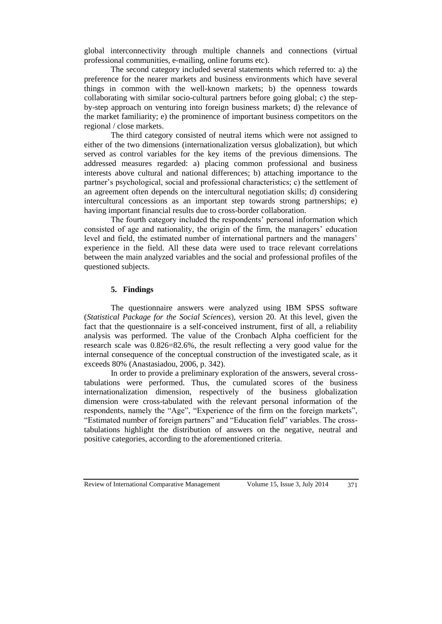global interconnectivity through multiple channels and connections (virtual professional communities, e-mailing, online forums etc).

The second category included several statements which referred to: a) the preference for the nearer markets and business environments which have several things in common with the well-known markets; b) the openness towards collaborating with similar socio-cultural partners before going global; c) the stepby-step approach on venturing into foreign business markets; d) the relevance of the market familiarity; e) the prominence of important business competitors on the regional / close markets.

The third category consisted of neutral items which were not assigned to either of the two dimensions (internationalization versus globalization), but which served as control variables for the key items of the previous dimensions. The addressed measures regarded: a) placing common professional and business interests above cultural and national differences; b) attaching importance to the partner's psychological, social and professional characteristics; c) the settlement of an agreement often depends on the intercultural negotiation skills; d) considering intercultural concessions as an important step towards strong partnerships; e) having important financial results due to cross-border collaboration.

The fourth category included the respondents' personal information which consisted of age and nationality, the origin of the firm, the managers' education level and field, the estimated number of international partners and the managers' experience in the field. All these data were used to trace relevant correlations between the main analyzed variables and the social and professional profiles of the questioned subjects.

# **5. Findings**

The questionnaire answers were analyzed using IBM SPSS software (*Statistical Package for the Social Sciences*), version 20. At this level, given the fact that the questionnaire is a self-conceived instrument, first of all, a reliability analysis was performed. The value of the Cronbach Alpha coefficient for the research scale was 0.826=82.6%, the result reflecting a very good value for the internal consequence of the conceptual construction of the investigated scale, as it exceeds 80% (Anastasiadou, 2006, p. 342).

In order to provide a preliminary exploration of the answers, several crosstabulations were performed. Thus, the cumulated scores of the business internationalization dimension, respectively of the business globalization dimension were cross-tabulated with the relevant personal information of the respondents, namely the "Age", "Experience of the firm on the foreign markets", "Estimated number of foreign partners" and "Education field" variables. The crosstabulations highlight the distribution of answers on the negative, neutral and positive categories, according to the aforementioned criteria.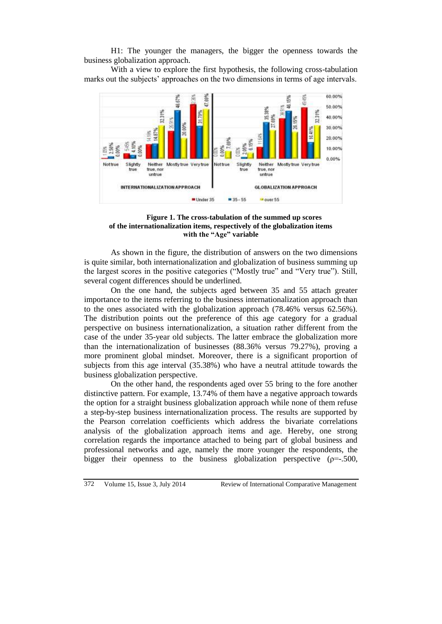H1: The younger the managers, the bigger the openness towards the business globalization approach.

With a view to explore the first hypothesis, the following cross-tabulation marks out the subjects' approaches on the two dimensions in terms of age intervals.



**Figure 1. The cross-tabulation of the summed up scores of the internationalization items, respectively of the globalization items with the "Age" variable**

As shown in the figure, the distribution of answers on the two dimensions is quite similar, both internationalization and globalization of business summing up the largest scores in the positive categories ("Mostly true" and "Very true"). Still, several cogent differences should be underlined.

On the one hand, the subjects aged between 35 and 55 attach greater importance to the items referring to the business internationalization approach than to the ones associated with the globalization approach (78.46% versus 62.56%). The distribution points out the preference of this age category for a gradual perspective on business internationalization, a situation rather different from the case of the under 35-year old subjects. The latter embrace the globalization more than the internationalization of businesses (88.36% versus 79.27%), proving a more prominent global mindset. Moreover, there is a significant proportion of subjects from this age interval (35.38%) who have a neutral attitude towards the business globalization perspective.

On the other hand, the respondents aged over 55 bring to the fore another distinctive pattern. For example, 13.74% of them have a negative approach towards the option for a straight business globalization approach while none of them refuse a step-by-step business internationalization process. The results are supported by the Pearson correlation coefficients which address the bivariate correlations analysis of the globalization approach items and age. Hereby, one strong correlation regards the importance attached to being part of global business and professional networks and age, namely the more younger the respondents, the bigger their openness to the business globalization perspective ( $\rho = -0.500$ ,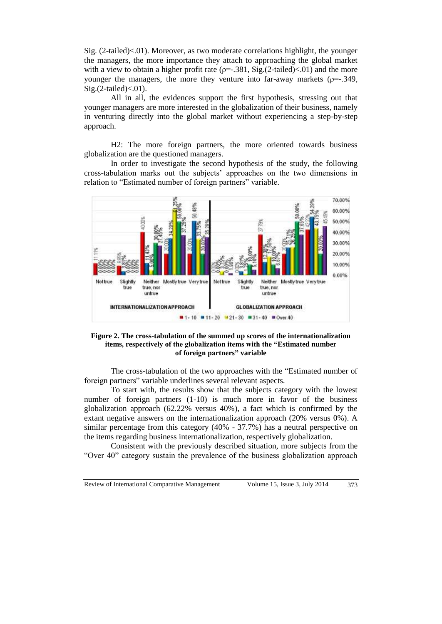Sig. (2-tailed)<.01). Moreover, as two moderate correlations highlight, the younger the managers, the more importance they attach to approaching the global market with a view to obtain a higher profit rate ( $\rho = .381$ , Sig.(2-tailed)<.01) and the more younger the managers, the more they venture into far-away markets ( $\rho = -0.349$ ,  $Sig.(2-tailed) < 01$ ).

All in all, the evidences support the first hypothesis, stressing out that younger managers are more interested in the globalization of their business, namely in venturing directly into the global market without experiencing a step-by-step approach.

H2: The more foreign partners, the more oriented towards business globalization are the questioned managers.

In order to investigate the second hypothesis of the study, the following cross-tabulation marks out the subjects' approaches on the two dimensions in relation to "Estimated number of foreign partners" variable.



#### **Figure 2. The cross-tabulation of the summed up scores of the internationalization items, respectively of the globalization items with the "Estimated number of foreign partners" variable**

The cross-tabulation of the two approaches with the "Estimated number of foreign partners" variable underlines several relevant aspects.

To start with, the results show that the subjects category with the lowest number of foreign partners (1-10) is much more in favor of the business globalization approach (62.22% versus 40%), a fact which is confirmed by the extant negative answers on the internationalization approach (20% versus 0%). A similar percentage from this category (40% - 37.7%) has a neutral perspective on the items regarding business internationalization, respectively globalization.

Consistent with the previously described situation, more subjects from the "Over 40" category sustain the prevalence of the business globalization approach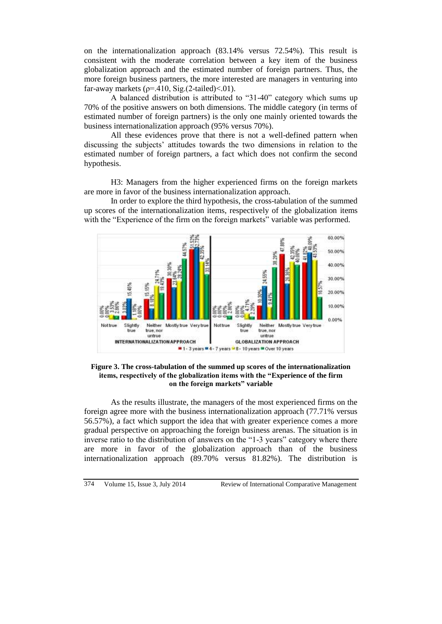on the internationalization approach (83.14% versus 72.54%). This result is consistent with the moderate correlation between a key item of the business globalization approach and the estimated number of foreign partners. Thus, the more foreign business partners, the more interested are managers in venturing into far-away markets ( $\rho$ =.410, Sig.(2-tailed)<.01).

A balanced distribution is attributed to "31-40" category which sums up 70% of the positive answers on both dimensions. The middle category (in terms of estimated number of foreign partners) is the only one mainly oriented towards the business internationalization approach (95% versus 70%).

All these evidences prove that there is not a well-defined pattern when discussing the subjects' attitudes towards the two dimensions in relation to the estimated number of foreign partners, a fact which does not confirm the second hypothesis.

H3: Managers from the higher experienced firms on the foreign markets are more in favor of the business internationalization approach.

In order to explore the third hypothesis, the cross-tabulation of the summed up scores of the internationalization items, respectively of the globalization items with the "Experience of the firm on the foreign markets" variable was performed.



**Figure 3. The cross-tabulation of the summed up scores of the internationalization items, respectively of the globalization items with the "Experience of the firm on the foreign markets" variable**

As the results illustrate, the managers of the most experienced firms on the foreign agree more with the business internationalization approach (77.71% versus 56.57%), a fact which support the idea that with greater experience comes a more gradual perspective on approaching the foreign business arenas. The situation is in inverse ratio to the distribution of answers on the "1-3 years" category where there are more in favor of the globalization approach than of the business internationalization approach (89.70% versus 81.82%). The distribution is

 $374$  Volume 15, Issue 3, July 2014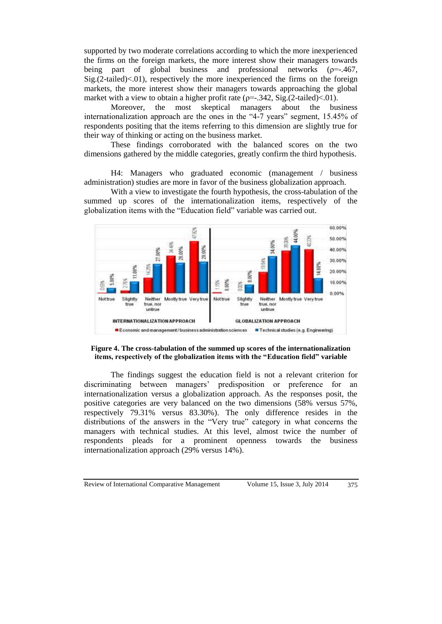supported by two moderate correlations according to which the more inexperienced the firms on the foreign markets, the more interest show their managers towards being part of global business and professional networks ( $\rho = -1467$ ,  $Sig(2-tailed) < 0.01$ , respectively the more inexperienced the firms on the foreign markets, the more interest show their managers towards approaching the global market with a view to obtain a higher profit rate ( $\rho = -342$ , Sig.(2-tailed)<.01).

Moreover, the most skeptical managers about the business internationalization approach are the ones in the "4-7 years" segment, 15.45% of respondents positing that the items referring to this dimension are slightly true for their way of thinking or acting on the business market.

These findings corroborated with the balanced scores on the two dimensions gathered by the middle categories, greatly confirm the third hypothesis.

H4: Managers who graduated economic (management / business administration) studies are more in favor of the business globalization approach.

With a view to investigate the fourth hypothesis, the cross-tabulation of the summed up scores of the internationalization items, respectively of the globalization items with the "Education field" variable was carried out.



# **Figure 4. The cross-tabulation of the summed up scores of the internationalization items, respectively of the globalization items with the "Education field" variable**

The findings suggest the education field is not a relevant criterion for discriminating between managers' predisposition or preference for an internationalization versus a globalization approach. As the responses posit, the positive categories are very balanced on the two dimensions (58% versus 57%, respectively 79.31% versus 83.30%). The only difference resides in the distributions of the answers in the "Very true" category in what concerns the managers with technical studies. At this level, almost twice the number of respondents pleads for a prominent openness towards the business internationalization approach (29% versus 14%).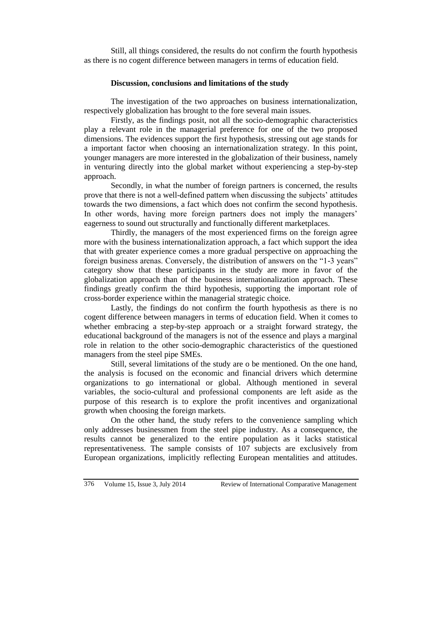Still, all things considered, the results do not confirm the fourth hypothesis as there is no cogent difference between managers in terms of education field.

#### **Discussion, conclusions and limitations of the study**

The investigation of the two approaches on business internationalization, respectively globalization has brought to the fore several main issues.

Firstly, as the findings posit, not all the socio-demographic characteristics play a relevant role in the managerial preference for one of the two proposed dimensions. The evidences support the first hypothesis, stressing out age stands for a important factor when choosing an internationalization strategy. In this point, younger managers are more interested in the globalization of their business, namely in venturing directly into the global market without experiencing a step-by-step approach.

Secondly, in what the number of foreign partners is concerned, the results prove that there is not a well-defined pattern when discussing the subjects' attitudes towards the two dimensions, a fact which does not confirm the second hypothesis. In other words, having more foreign partners does not imply the managers' eagerness to sound out structurally and functionally different marketplaces.

Thirdly, the managers of the most experienced firms on the foreign agree more with the business internationalization approach, a fact which support the idea that with greater experience comes a more gradual perspective on approaching the foreign business arenas. Conversely, the distribution of answers on the "1-3 years" category show that these participants in the study are more in favor of the globalization approach than of the business internationalization approach. These findings greatly confirm the third hypothesis, supporting the important role of cross-border experience within the managerial strategic choice.

Lastly, the findings do not confirm the fourth hypothesis as there is no cogent difference between managers in terms of education field. When it comes to whether embracing a step-by-step approach or a straight forward strategy, the educational background of the managers is not of the essence and plays a marginal role in relation to the other socio-demographic characteristics of the questioned managers from the steel pipe SMEs.

Still, several limitations of the study are o be mentioned. On the one hand, the analysis is focused on the economic and financial drivers which determine organizations to go international or global. Although mentioned in several variables, the socio-cultural and professional components are left aside as the purpose of this research is to explore the profit incentives and organizational growth when choosing the foreign markets.

On the other hand, the study refers to the convenience sampling which only addresses businessmen from the steel pipe industry. As a consequence, the results cannot be generalized to the entire population as it lacks statistical representativeness. The sample consists of 107 subjects are exclusively from European organizations, implicitly reflecting European mentalities and attitudes.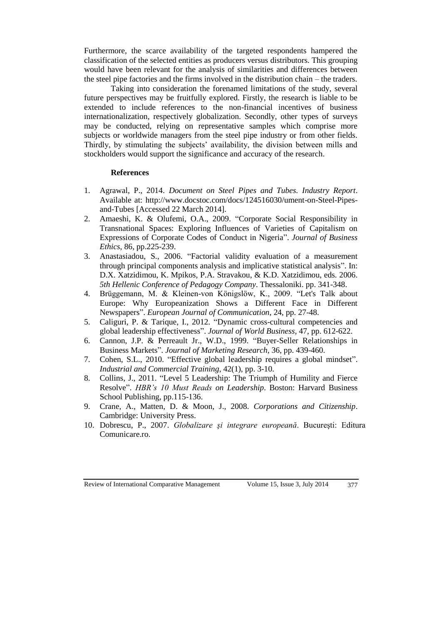Furthermore, the scarce availability of the targeted respondents hampered the classification of the selected entities as producers versus distributors. This grouping would have been relevant for the analysis of similarities and differences between the steel pipe factories and the firms involved in the distribution chain – the traders.

Taking into consideration the forenamed limitations of the study, several future perspectives may be fruitfully explored. Firstly, the research is liable to be extended to include references to the non-financial incentives of business internationalization, respectively globalization. Secondly, other types of surveys may be conducted, relying on representative samples which comprise more subjects or worldwide managers from the steel pipe industry or from other fields. Thirdly, by stimulating the subjects' availability, the division between mills and stockholders would support the significance and accuracy of the research.

#### **References**

- 1. Agrawal, P., 2014. *Document on Steel Pipes and Tubes. Industry Report*. Available at: [http://www.docstoc.com/docs/124516030/ument-on-Steel-Pipes](http://www.docstoc.com/docs/124516030/ument-on-Steel-Pipes-and-Tubes)[and-Tubes](http://www.docstoc.com/docs/124516030/ument-on-Steel-Pipes-and-Tubes) [Accessed 22 March 2014].
- 2. Amaeshi, K. & Olufemi, O.A., 2009. "Corporate Social Responsibility in Transnational Spaces: Exploring Influences of Varieties of Capitalism on Expressions of Corporate Codes of Conduct in Nigeria". *Journal of Business Ethics*, 86, pp.225-239.
- 3. Anastasiadou, S., 2006. "Factorial validity evaluation of a measurement through principal components analysis and implicative statistical analysis". In: D.X. Xatzidimou, K. Mpikos, P.A. Stravakou, & K.D. Xatzidimou, eds. 2006. *5th Hellenic Conference of Pedagogy Company*. Thessaloniki. pp. 341-348.
- 4. Brüggemann, M. & Kleinen-von Königslöw, K., 2009. "Let's Talk about Europe: Why Europeanization Shows a Different Face in Different Newspapers". *European Journal of Communication*, 24, pp. 27-48.
- 5. Caliguri, P. & Tarique, I., 2012. "Dynamic cross-cultural competencies and global leadership effectiveness". *Journal of World Business*, 47, pp. 612-622.
- 6. Cannon, J.P. & Perreault Jr., W.D., 1999. "Buyer-Seller Relationships in Business Markets". *Journal of Marketing Research*, 36, pp. 439-460.
- 7. Cohen, S.L., 2010. "Effective global leadership requires a global mindset". *Industrial and Commercial Training*, 42(1), pp. 3-10.
- 8. Collins, J., 2011. "Level 5 Leadership: The Triumph of Humility and Fierce Resolve". *HBR's 10 Must Reads on Leadership*. Boston: Harvard Business School Publishing, pp.115-136.
- 9. Crane, A., Matten, D. & Moon, J., 2008. *Corporations and Citizenship*. Cambridge: University Press.
- 10. Dobrescu, P., 2007. *Globalizare şi integrare europeană*. Bucureşti: Editura Comunicare.ro.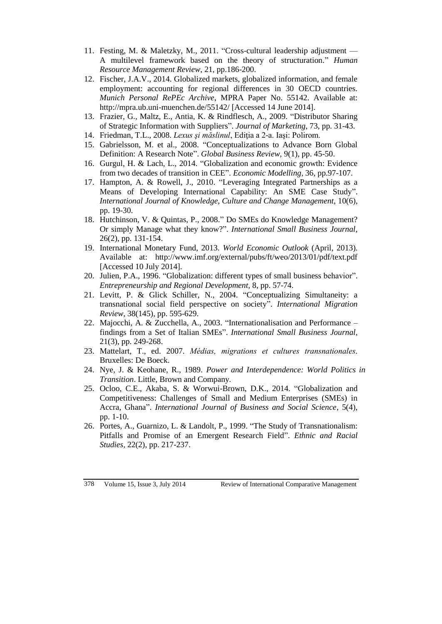- 11. Festing, M. & Maletzky, M., 2011. "Cross-cultural leadership adjustment A multilevel framework based on the theory of structuration." *Human Resource Management Review*, 21, pp.186-200.
- 12. Fischer, J.A.V., 2014. Globalized markets, globalized information, and female employment: accounting for regional differences in 30 OECD countries. *Munich Personal RePEc Archive*, MPRA Paper No. 55142. Available at: <http://mpra.ub.uni-muenchen.de/55142/> [Accessed 14 June 2014].
- 13. Frazier, G., Maltz, E., Antia, K. & Rindflesch, A., 2009. "Distributor Sharing of Strategic Information with Suppliers". *Journal of Marketing*, 73, pp. 31-43.
- 14. Friedman, T.L., 2008. *Lexus şi măslinul*, Ediţia a 2-a. Iaşi: Polirom.
- 15. Gabrielsson, M. et al., 2008. "Conceptualizations to Advance Born Global Definition: A Research Note". *Global Business Review,* 9(1), pp. 45-50.
- 16. Gurgul, H. & Lach, L., 2014. "Globalization and economic growth: Evidence from two decades of transition in CEE". *Economic Modelling*, 36, pp.97-107.
- 17. Hampton, A. & Rowell, J., 2010. "Leveraging Integrated Partnerships as a Means of Developing International Capability: An SME Case Study". *International Journal of Knowledge, Culture and Change Management, 10(6),* pp. 19-30.
- 18. Hutchinson, V. & Quintas, P., 2008." Do SMEs do Knowledge Management? Or simply Manage what they know?". *International Small Business Journal,*  26(2), pp. 131-154.
- 19. International Monetary Fund, 2013. *World Economic Outlook* (April, 2013). Available at: <http://www.imf.org/external/pubs/ft/weo/2013/01/pdf/text.pdf> [Accessed 10 July 2014].
- 20. Julien, P.A., 1996. "Globalization: different types of small business behavior". *Entrepreneurship and Regional Development*, 8, pp. 57-74.
- 21. Levitt, P. & Glick Schiller, N., 2004. "Conceptualizing Simultaneity: a transnational social field perspective on society". *International Migration Review,* 38(145), pp. 595-629.
- 22. Majocchi, A. & Zucchella, A., 2003. "Internationalisation and Performance findings from a Set of Italian SMEs". *International Small Business Journal*, 21(3), pp. 249-268.
- 23. Mattelart, T., ed. 2007. *Médias, migrations et cultures transnationales.*  Bruxelles: De Boeck.
- 24. Nye, J. & Keohane, R., 1989*. Power and Interdependence: World Politics in Transition*. [Little, Brown and Company](http://en.wikipedia.org/wiki/Little%2C_Brown_and_Company)*.*
- 25. Ocloo, C.E., Akaba, S. & Worwui-Brown, D.K., 2014. "Globalization and Competitiveness: Challenges of Small and Medium Enterprises (SMEs) in Accra, Ghana". *International Journal of Business and Social Science*, 5(4), pp. 1-10.
- 26. Portes, A., Guarnizo, L. & Landolt, P., 1999. "The Study of Transnationalism: Pitfalls and Promise of an Emergent Research Field". *Ethnic and Racial Studies,* 22(2), pp. 217-237.